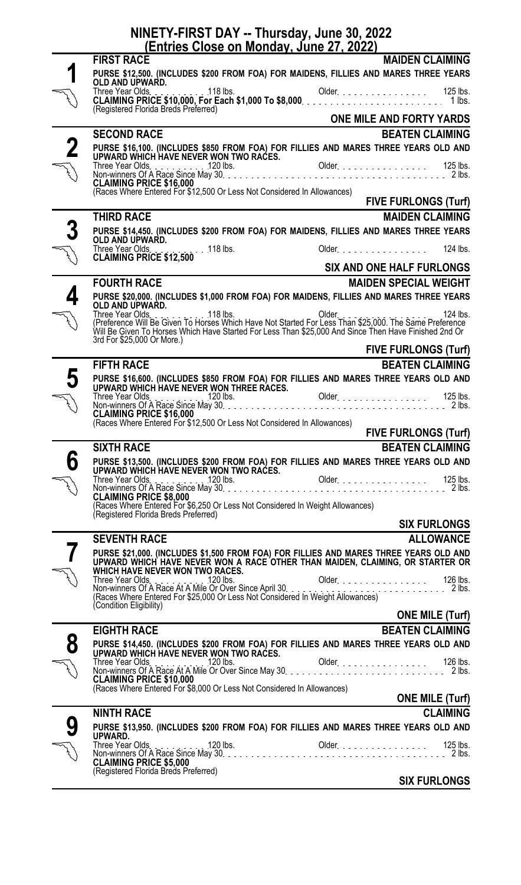## **NINETY-FIRST DAY -- Thursday, June 30, 2022 (Entries Close on Monday, June 27, 2022)**

|          | <u> Entries Close on Monday, June 27, 2022)</u>                                                                                                                                                                                        |                                  |  |
|----------|----------------------------------------------------------------------------------------------------------------------------------------------------------------------------------------------------------------------------------------|----------------------------------|--|
|          | <b>FIRST RACE</b>                                                                                                                                                                                                                      | <b>MAIDEN CLAIMING</b>           |  |
|          | PURSE \$12,500. (INCLUDES \$200 FROM FOA) FOR MAIDENS, FILLIES AND MARES THREE YEARS<br>OLD AND UPWARD.                                                                                                                                |                                  |  |
|          |                                                                                                                                                                                                                                        |                                  |  |
|          | (Registered Florida Breds Preferred)                                                                                                                                                                                                   | ONE MILE AND FORTY YARDS         |  |
|          | <b>SECOND RACE</b>                                                                                                                                                                                                                     | <b>BEATEN CLAIMING</b>           |  |
| 2        |                                                                                                                                                                                                                                        |                                  |  |
| کمچر     |                                                                                                                                                                                                                                        |                                  |  |
|          |                                                                                                                                                                                                                                        |                                  |  |
|          | (Races Where Entered For \$12,500 Or Less Not Considered In Allowances)                                                                                                                                                                | <b>FIVE FURLONGS (Turf)</b>      |  |
|          | <b>THIRD RACE</b>                                                                                                                                                                                                                      | <b>MAIDEN CLAIMING</b>           |  |
|          | PURSE \$14,450. (INCLUDES \$200 FROM FOA) FOR MAIDENS, FILLIES AND MARES THREE YEARS<br>OLD AND UPWARD.                                                                                                                                |                                  |  |
|          |                                                                                                                                                                                                                                        | Older.<br>124 lbs.               |  |
|          | CLAIMING PRICE \$12,500 118 lbs.                                                                                                                                                                                                       | <b>SIX AND ONE HALF FURLONGS</b> |  |
|          | <b>FOURTH RACE</b>                                                                                                                                                                                                                     | <b>MAIDEN SPECIAL WEIGHT</b>     |  |
| 4        | PURSE \$20,000. (INCLUDES \$1,000 FROM FOA) FOR MAIDENS, FILLIES AND MARES THREE YEARS                                                                                                                                                 |                                  |  |
|          | OLD AND UPWARD.<br>Three Year Olds<br>. 118 lbs.                                                                                                                                                                                       | Older.<br>$124$ lbs.             |  |
|          | (Preference Will Be Given To Horses Which Have Not Started For Less Than \$25,000. The Same Preference<br>Will Be Given To Horses Which Have Started For Less Than \$25,000 And Since Then Have Finished 2nd Or                        |                                  |  |
|          | 3rd For \$25,000 Or More.)                                                                                                                                                                                                             | <b>FIVE FURLONGS (Turf)</b>      |  |
|          | <b>FIFTH RACE</b>                                                                                                                                                                                                                      | <b>BEATEN CLAIMING</b>           |  |
| 5        | PURSE \$16,600. (INCLUDES \$850 FROM FOA) FOR FILLIES AND MARES THREE YEARS OLD AND<br>UPWARD WHICH HAVE NEVER WON THREE RACES.                                                                                                        |                                  |  |
|          | Three Year Olds.<br>.120 lbs.                                                                                                                                                                                                          | Older.<br>125 lbs.<br>$2$ lbs.   |  |
|          | (Races Where Entered For \$12,500 Or Less Not Considered In Allowances)                                                                                                                                                                |                                  |  |
|          |                                                                                                                                                                                                                                        | <b>FIVE FURLONGS (Turf)</b>      |  |
|          | <b>SIXTH RACE</b>                                                                                                                                                                                                                      | <b>BEATEN CLAIMING</b>           |  |
| 6        | PURSE \$13,500. (INCLUDES \$200 FROM FOA) FOR FILLIES AND MARES THREE YEARS OLD AND UPWARD WHICH HAVE NEVER WON TWO RACES.<br>Three Year Olds. (200 USB) Three Year Olds. (200 USB) Older. (200 USB) Older. (200 USB) Non-winners O    |                                  |  |
|          |                                                                                                                                                                                                                                        |                                  |  |
| <b>W</b> |                                                                                                                                                                                                                                        |                                  |  |
|          | CLAIMING PRICE \$8,000<br>(Races Where Entered For \$6,250 Or Less Not Considered In Weight Allowances)<br>(Registered Florida Breds Preferred)                                                                                        |                                  |  |
|          |                                                                                                                                                                                                                                        | <b>SIX FURLONGS</b>              |  |
|          | <b>SEVENTH RACE</b>                                                                                                                                                                                                                    | <b>ALLOWANCE</b>                 |  |
|          | PURSE \$21,000. (INCLUDES \$1,500 FROM FOA) FOR FILLIES AND MARES THREE YEARS OLD AND<br>UPWARD WHICH HAVE NEVER WON A RACE OTHER THAN MAIDEN, CLAIMING, OR STARTER OR WHICH HAVE NEVER WON TWO RACES.                                 |                                  |  |
|          | 120 lbs.<br>Three Year Olds                                                                                                                                                                                                            | Older $\ldots$<br>126 lbs.       |  |
|          | Non-winners Of A Race At A Mile Or Over Since April 30<br>(Races Where Entered For \$25,000 Or Less Not Considered In Weight Allowances)<br>(Condition Eligibility)                                                                    |                                  |  |
|          |                                                                                                                                                                                                                                        |                                  |  |
|          |                                                                                                                                                                                                                                        | <b>ONE MILE (Turf)</b>           |  |
| 8        | <b>EIGHTH RACE</b>                                                                                                                                                                                                                     | <b>BEATEN CLAIMING</b>           |  |
|          | PURSE \$14,450. (INCLUDES \$200 FROM FOA) FOR FILLIES AND MARES THREE YEARS OLD AND<br>UPWARD WHICH HAVE NEVER WON TWO RACES.<br>Three Year Olds. [126] A Race At A Mile Or Over Since May 30. [20] Older. [126] A Race At A Mile Or O |                                  |  |
| <b>W</b> |                                                                                                                                                                                                                                        |                                  |  |
|          | <b>CLAIMING PRICE \$10,000</b><br>(Races Where Entered For \$8,000 Or Less Not Considered In Allowances)                                                                                                                               |                                  |  |
|          |                                                                                                                                                                                                                                        | <b>ONE MILE (Turf)</b>           |  |
|          | <b>NINTH RACE</b>                                                                                                                                                                                                                      | <b>CLAIMING</b>                  |  |
|          | PURSE \$13,950. (INCLUDES \$200 FROM FOA) FOR FILLIES AND MARES THREE YEARS OLD AND<br>UPWARD.                                                                                                                                         |                                  |  |
|          |                                                                                                                                                                                                                                        | 125 lbs.<br>. 2 lbs.             |  |
|          |                                                                                                                                                                                                                                        |                                  |  |
|          | (Registered Florida Breds Preferred)                                                                                                                                                                                                   |                                  |  |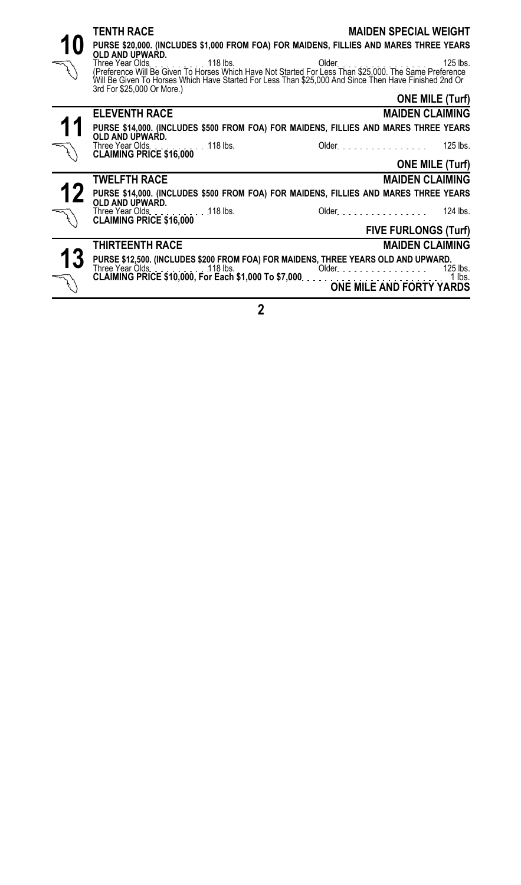|    | <b>TENTH RACE</b><br>PURSE \$20,000. (INCLUDES \$1,000 FROM FOA) FOR MAIDENS, FILLIES AND MARES THREE YEARS                                                      | <b>MAIDEN SPECIAL WEIGHT</b> |
|----|------------------------------------------------------------------------------------------------------------------------------------------------------------------|------------------------------|
|    | OLD AND UPWARD.<br>Will Be Given To Horses Which Have Started For Less Than \$25,000 And Since Then Have Finished 2nd Or<br>3rd For \$25,000 Or More.)           | 125 lbs.                     |
|    |                                                                                                                                                                  | <b>ONE MILE (Turf)</b>       |
|    | <b>ELEVENTH RACE</b>                                                                                                                                             | <b>MAIDEN CLAIMING</b>       |
| 11 | PURSE \$14,000. (INCLUDES \$500 FROM FOA) FOR MAIDENS, FILLIES AND MARES THREE YEARS<br>OLD AND UPWARD.                                                          |                              |
|    | Three Year Olds. 118 lbs. CLAIMING PRICE \$16,000                                                                                                                | Older. 125 lbs.              |
|    |                                                                                                                                                                  | <b>ONE MILE (Turf)</b>       |
|    | <b>TWELFTH RACE</b>                                                                                                                                              | <b>MAIDEN CLAIMING</b>       |
| 12 | PURSE \$14,000. (INCLUDES \$500 FROM FOA) FOR MAIDENS, FILLIES AND MARES THREE YEARS<br>OLD AND UPWARD.                                                          |                              |
|    | Three Year Olds. 118 lbs. CLAIMING PRICE \$16,000                                                                                                                | Older 124 lbs.               |
|    |                                                                                                                                                                  | <b>FIVE FURLONGS (Turf)</b>  |
|    | <b>THIRTEENTH RACE</b>                                                                                                                                           | <b>MAIDEN CLAIMING</b>       |
| 13 | PURSE \$12,500. (INCLUDES \$200 FROM FOA) FOR MAIDENS, THREE YEARS OLD AND UPWARD.<br>PURSE \$12,500. (INCLUDES \$290 FROM L SOLUTION CONDECTIVE SERVICE STATES) |                              |
|    |                                                                                                                                                                  |                              |

**2**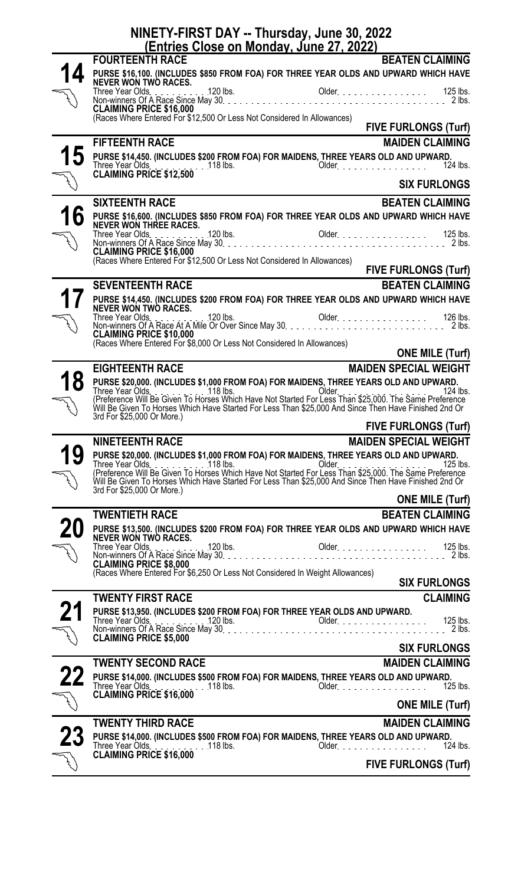| NINETY-FIRST DAY -- Thursday, June 30, 2022<br>(Entries Close on Monday, June 27, 2022) |                                                                                                                                            |                                                                                                                                                                                                                                                     |  |  |
|-----------------------------------------------------------------------------------------|--------------------------------------------------------------------------------------------------------------------------------------------|-----------------------------------------------------------------------------------------------------------------------------------------------------------------------------------------------------------------------------------------------------|--|--|
|                                                                                         | <b>FOURTEENTH RACE</b>                                                                                                                     | <b>BEATEN CLAIMING</b><br>PURSE \$16,100. (INCLUDES \$850 FROM FOA) FOR THREE YEAR OLDS AND UPWARD WHICH HAVE                                                                                                                                       |  |  |
|                                                                                         | NEVER WON TWO RACES.<br>(Races Where Entered For \$12,500 Or Less Not Considered In Allowances)                                            |                                                                                                                                                                                                                                                     |  |  |
|                                                                                         |                                                                                                                                            | <b>FIVE FURLONGS (Turf)</b>                                                                                                                                                                                                                         |  |  |
|                                                                                         | <b>FIFTEENTH RACE</b><br>PURSE \$14,450. (INCLUDES \$200 FROM FOA) FOR MAIDENS, THREE YEARS OLD AND UPWARD.                                | <b>MAIDEN CLAIMING</b><br>Older. 124 lbs.                                                                                                                                                                                                           |  |  |
|                                                                                         | Three Year Olds. \<br>CLAIMING PRICE \$12,500 \, 118 lbs.                                                                                  | <b>SIX FURLONGS</b>                                                                                                                                                                                                                                 |  |  |
|                                                                                         | <b>SIXTEENTH RACE</b>                                                                                                                      | <b>BEATEN CLAIMING</b>                                                                                                                                                                                                                              |  |  |
|                                                                                         |                                                                                                                                            |                                                                                                                                                                                                                                                     |  |  |
|                                                                                         |                                                                                                                                            | The Figure 125 Ibs.<br>Non-winners Of A Race Since May 30.<br>CLAINING PRICE \$16,000<br>CRACE TO THE RESIDENCE OF A RACE OF A RACE OF A RACE CONDITIONARY CONTROL CONTROL OF CHANGE OF A RACE OF CHANGE<br>CRACE Whom E SACE OF A RACE OF          |  |  |
|                                                                                         | (Races Where Entered For \$12,500 Or Less Not Considered In Allowances)                                                                    | <b>FIVE FURLONGS (Turf)</b>                                                                                                                                                                                                                         |  |  |
|                                                                                         | <b>SEVENTEENTH RACE</b>                                                                                                                    | <b>BEATEN CLAIMING</b>                                                                                                                                                                                                                              |  |  |
|                                                                                         | NEVER WON TWO RACES.                                                                                                                       | PURSE \$14,450. (INCLUDES \$200 FROM FOA) FOR THREE YEAR OLDS AND UPWARD WHICH HAVE                                                                                                                                                                 |  |  |
|                                                                                         |                                                                                                                                            |                                                                                                                                                                                                                                                     |  |  |
|                                                                                         | (Races Where Entered For \$8,000 Or Less Not Considered In Allowances)                                                                     | <b>ONE MILE (Turf)</b>                                                                                                                                                                                                                              |  |  |
|                                                                                         | <b>EIGHTEENTH RACE</b>                                                                                                                     | MAIDEN SPECIAL WEIGHT                                                                                                                                                                                                                               |  |  |
|                                                                                         |                                                                                                                                            | 124 lbs.                                                                                                                                                                                                                                            |  |  |
|                                                                                         | 3rd For \$25,000 Or More.)                                                                                                                 | Will Be Given To Horses Which Have Started For Less Than \$25,000 And Since Then Have Finished 2nd Or<br><b>FIVE FURLONGS (Turf)</b>                                                                                                                |  |  |
|                                                                                         | <b>NINETEENTH RACE</b>                                                                                                                     | <b>MAIDEN SPECIAL WEIGHT</b>                                                                                                                                                                                                                        |  |  |
|                                                                                         |                                                                                                                                            | PURSE \$20,000. (INCLUDES \$1,000 FROM FOA) FOR MAIDENS, THREE YEARS OLD AND UPWARD.<br>Three Year Olds Civen To Horses Which Have Not Started For Less Than \$25,000. The Same Preference<br>Will Be Given To Horses Which Have Not St<br>125 lbs. |  |  |
|                                                                                         | 3rd For \$25,000 Or More.)                                                                                                                 | <b>ONE MILE (Turf)</b>                                                                                                                                                                                                                              |  |  |
|                                                                                         | TWENTIETH RACE                                                                                                                             | <b>BEATEN CLAIMING</b>                                                                                                                                                                                                                              |  |  |
|                                                                                         |                                                                                                                                            | PURSE \$13,500. (INCLUDES \$200 FROM FOA) FOR THREE YEAR OLDS AND UPWARD WHICH HAVE<br>NEVER WON TWO RACES.<br>Three Vero Night (1985) the control of the control of the film                                                                       |  |  |
|                                                                                         | <b>CLAIMING PRICE \$8,000</b>                                                                                                              | Three Year Olds.<br>Three Year Olds. (2016). (2016). (2016). (2016). (2016). (2016). (2016). (2016). (2016). (2016). (2016). (20<br>2016). (2016). (2016). (2016). (2016). (2016). (2016). (2016). (2016). (2016). (2016). (2016).                  |  |  |
|                                                                                         | (Races Where Entered For \$6,250 Or Less Not Considered In Weight Allowances)                                                              | <sup>es)</sup> SIX FURLONGS                                                                                                                                                                                                                         |  |  |
|                                                                                         | TWENTY FIRST RACE                                                                                                                          | <b>CLAIMING</b>                                                                                                                                                                                                                                     |  |  |
|                                                                                         |                                                                                                                                            |                                                                                                                                                                                                                                                     |  |  |
|                                                                                         | <b>CLAIMING PRICE \$5,000</b>                                                                                                              | <b>SIX FURLONGS</b>                                                                                                                                                                                                                                 |  |  |
|                                                                                         | <b>TWENTY SECOND RACE</b>                                                                                                                  | <b>MAIDEN CLAIMING</b>                                                                                                                                                                                                                              |  |  |
|                                                                                         | PURSE \$14,000. (INCLUDES \$500 FROM FOA) FOR MAIDENS, THREE YEARS OLD AND UPWARD.<br>Three Year Olds. 118 lbs.<br>CLAIMING PRICE \$16,000 | Older. 125 lbs.                                                                                                                                                                                                                                     |  |  |
|                                                                                         |                                                                                                                                            | <b>ONE MILE (Turf)</b>                                                                                                                                                                                                                              |  |  |
|                                                                                         | <b>TWENTY THIRD RACE</b>                                                                                                                   | <b>MAIDEN CLAIMING</b>                                                                                                                                                                                                                              |  |  |
|                                                                                         | PURSE \$14,000. (INCLUDES \$500 FROM FOA) FOR MAIDENS, THREE YEARS OLD AND UPWARD.<br>Three Year Olds.<br>CLAIMING PRICE \$16,000 118 lbs. | Older.<br>124 lbs.                                                                                                                                                                                                                                  |  |  |
|                                                                                         |                                                                                                                                            | <b>FIVE FURLONGS (Turf)</b>                                                                                                                                                                                                                         |  |  |